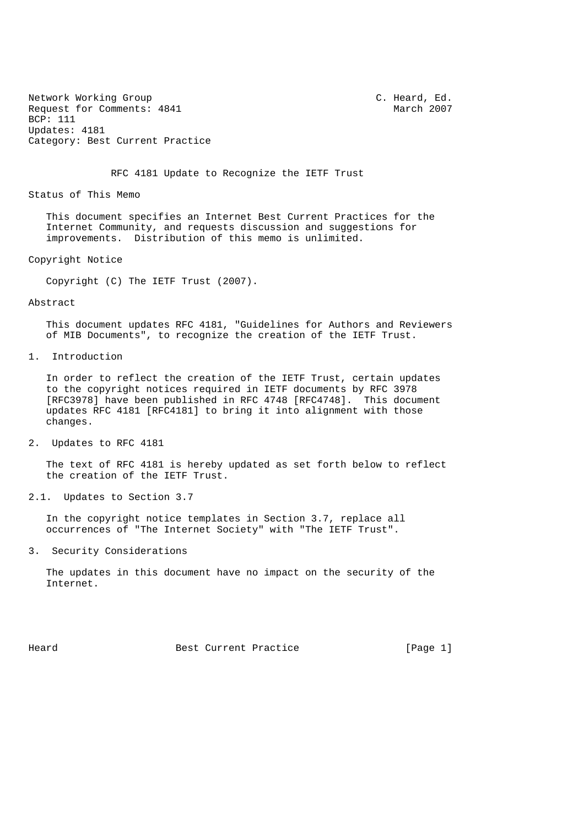Network Working Group (1999) 2008 (Network Working Group (1999) 2007<br>
Request for Comments: 4841 Request for Comments: 4841 BCP: 111 Updates: 4181 Category: Best Current Practice

RFC 4181 Update to Recognize the IETF Trust

Status of This Memo

 This document specifies an Internet Best Current Practices for the Internet Community, and requests discussion and suggestions for improvements. Distribution of this memo is unlimited.

Copyright Notice

Copyright (C) The IETF Trust (2007).

## Abstract

 This document updates RFC 4181, "Guidelines for Authors and Reviewers of MIB Documents", to recognize the creation of the IETF Trust.

1. Introduction

 In order to reflect the creation of the IETF Trust, certain updates to the copyright notices required in IETF documents by RFC 3978 [RFC3978] have been published in RFC 4748 [RFC4748]. This document updates RFC 4181 [RFC4181] to bring it into alignment with those changes.

2. Updates to RFC 4181

 The text of RFC 4181 is hereby updated as set forth below to reflect the creation of the IETF Trust.

2.1. Updates to Section 3.7

 In the copyright notice templates in Section 3.7, replace all occurrences of "The Internet Society" with "The IETF Trust".

3. Security Considerations

 The updates in this document have no impact on the security of the Internet.

Heard Best Current Practice [Page 1]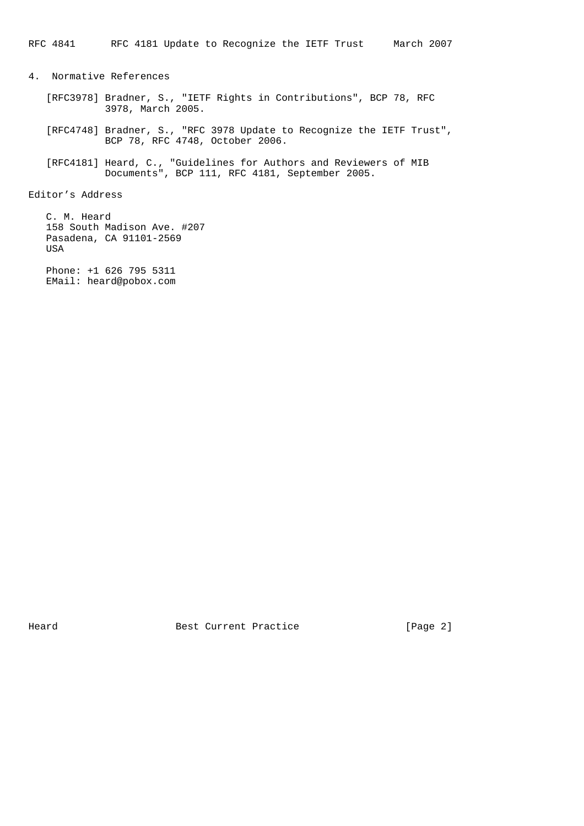4. Normative References

- [RFC3978] Bradner, S., "IETF Rights in Contributions", BCP 78, RFC 3978, March 2005.
- [RFC4748] Bradner, S., "RFC 3978 Update to Recognize the IETF Trust", BCP 78, RFC 4748, October 2006.
- [RFC4181] Heard, C., "Guidelines for Authors and Reviewers of MIB Documents", BCP 111, RFC 4181, September 2005.

Editor's Address

 C. M. Heard 158 South Madison Ave. #207 Pasadena, CA 91101-2569 USA

 Phone: +1 626 795 5311 EMail: heard@pobox.com

Heard Best Current Practice [Page 2]